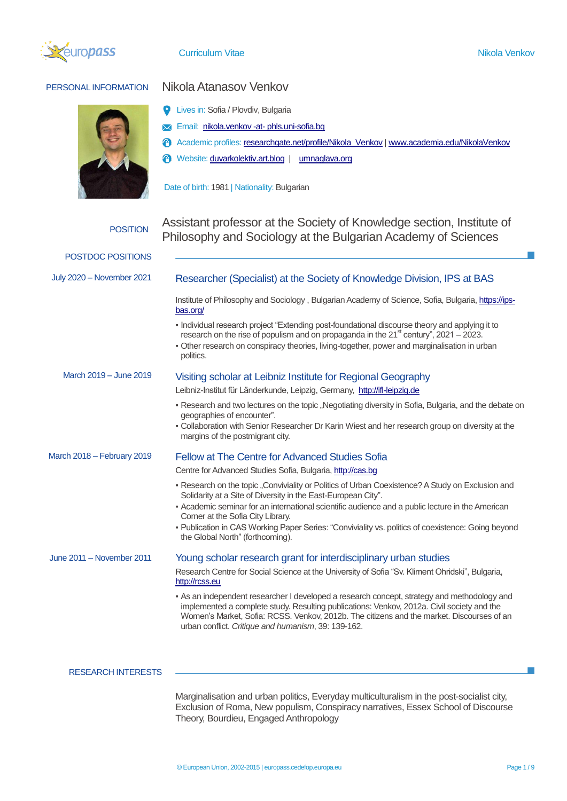

# PERSONAL INFORMATION Nikola Atanasov Venkov **Q** Lives in: Sofia / Plovdiv, Bulgaria **Email: nikola.venkov -at- [phls.uni-sofia.bg](mailto:nikola.venkov@phls.uni-sofia.bg)** Academic profiles: [researchgate.net/profile/Nikola\\_Venkov](http://researchgate.net/profile/Nikola_Venkov) [| www.academia.edu/NikolaVenkov](http://www.academia.edu/NikolaVenkov) Website: [duvarkolektiv.art.blog](http://duvarkolektiv.art.blog/) | [umnaglava.org](http://umnaglava.org/) Date of birth: 1981 | Nationality: Bulgarian POSTDOC POSITIONS July 2020 – November 2021 Researcher (Specialist) at the Society of Knowledge Division, IPS at BAS Institute of Philosophy and Sociology , Bulgarian Academy of Science, Sofia, Bulgaria[, https://ips](https://ips-bas.org/)[bas.org/](https://ips-bas.org/)  ▪ Individual research project "Extending post-foundational discourse theory and applying it to research on the rise of populism and on propaganda in the  $21<sup>st</sup>$  century", 2021 – 2023. • Other research on conspiracy theories, living-together, power and marginalisation in urban politics. March 2019 – June 2019 Visiting scholar at Leibniz Institute for Regional Geography Leibniz-Institut für Länderkunde, Leipzig, Germany, http://ifl-leipzig.de ▪ Research and two lectures on the topic "Negotiating diversity in Sofia, Bulgaria, and the debate on geographies of encounter". ▪ Collaboration with Senior Researcher Dr Karin Wiest and her research group on diversity at the margins of the postmigrant city. March 2018 – February 2019 Fellow at The Centre for Advanced Studies Sofia Centre for Advanced Studies Sofia, Bulgaria, [http://cas.bg](http://cas.bg/) **• Research on the topic "Conviviality or Politics of Urban Coexistence? A Study on Exclusion and** Solidarity at a Site of Diversity in the East-European City". ▪ Academic seminar for an international scientific audience and a public lecture in the American Corner at the Sofia City Library. ▪ Publication in CAS Working Paper Series: "Conviviality vs. politics of coexistence: Going beyond the Global North" (forthcoming). June 2011 – November 2011 Young scholar research grant for interdisciplinary urban studies Research Centre for Social Science at the University of Sofia "Sv. Kliment Ohridski", Bulgaria, [http://rcss.eu](http://rcss.eu/) ▪ As an independent researcher I developed a research concept, strategy and methodology and implemented a complete study. Resulting publications: Venkov, 2012a. Civil society and the Women"s Market, Sofia: RCSS. Venkov, 2012b. The citizens and the market. Discourses of an urban conflict. *Critique and humanism*, 39: 139-162. POSITION Assistant professor at the Society of Knowledge section, Institute of Philosophy and Sociology at the Bulgarian Academy of Sciences

## RESEARCH INTERESTS

Marginalisation and urban politics, Everyday multiculturalism in the post-socialist city, Exclusion of Roma, New populism, Conspiracy narratives, Essex School of Discourse Theory, Bourdieu, Engaged Anthropology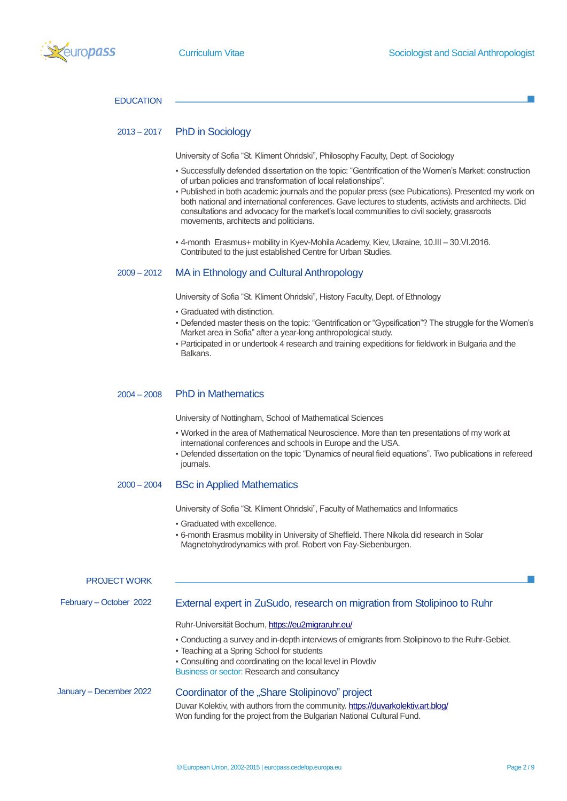

## **EDUCATION**

# 2013 – 2017 PhD in Sociology

University of Sofia "St. Kliment Ohridski", Philosophy Faculty, Dept. of Sociology

- Successfully defended dissertation on the topic: "Gentrification of the Women"s Market: construction of urban policies and transformation of local relationships".
- Published in both academic journals and the popular press (see Pubications). Presented my work on both national and international conferences. Gave lectures to students, activists and architects. Did consultations and advocacy for the market"s local communities to civil society, grassroots movements, architects and politicians.
- 4-month Erasmus+ mobility in Kyev-Mohila Academy, Kiev, Ukraine, 10.ІІІ 30.VІ.2016. Contributed to the just established Centre for Urban Studies.

# 2009 – 2012 MA in Ethnology and Cultural Anthropology

University of Sofia "St. Kliment Ohridski", History Faculty, Dept. of Ethnology

- Graduated with distinction.
- Defended master thesis on the topic: "Gentrification or "Gypsification"? The struggle for the Women"s Market area in Sofia" after a year-long anthropological study.
- Participated in or undertook 4 research and training expeditions for fieldwork in Bulgaria and the **Balkans**

## 2004 – 2008 PhD in Mathematics

University of Nottingham, School of Mathematical Sciences

- Worked in the area of Mathematical Neuroscience. More than ten presentations of my work at international conferences and schools in Europe and the USA.
- Defended dissertation on the topic "Dynamics of neural field equations". Two publications in refereed journals.

# 2000 – 2004 BSc in Applied Mathematics

University of Sofia "St. Kliment Ohridski", Faculty of Mathematics and Informatics

- Graduated with excellence.
- 6-month Erasmus mobility in University of Sheffield. There Nikola did research in Solar Magnetohydrodynamics with prof. Robert von Fay-Siebenburgen.

#### PROJECT WORK

# February – October 2022 External expert in ZuSudo, research on migration from Stolipinoo to Ruhr

Ruhr-Universität Bochum[, https://eu2migraruhr.eu/](https://eu2migraruhr.eu/)

- Conducting a survey and in-depth interviews of emigrants from Stolipinovo to the Ruhr-Gebiet.
- **Teaching at a Spring School for students**
- Consulting and coordinating on the local level in Plovdiv

Business or sector: Research and consultancy

# January – December 2022 Coordinator of the "Share Stolipinovo" project

Duvar Kolektiv, with authors from the community[. https://duvarkolektiv.art.blog/](https://duvarkolektiv.art.blog/) Won funding for the project from the Bulgarian National Cultural Fund.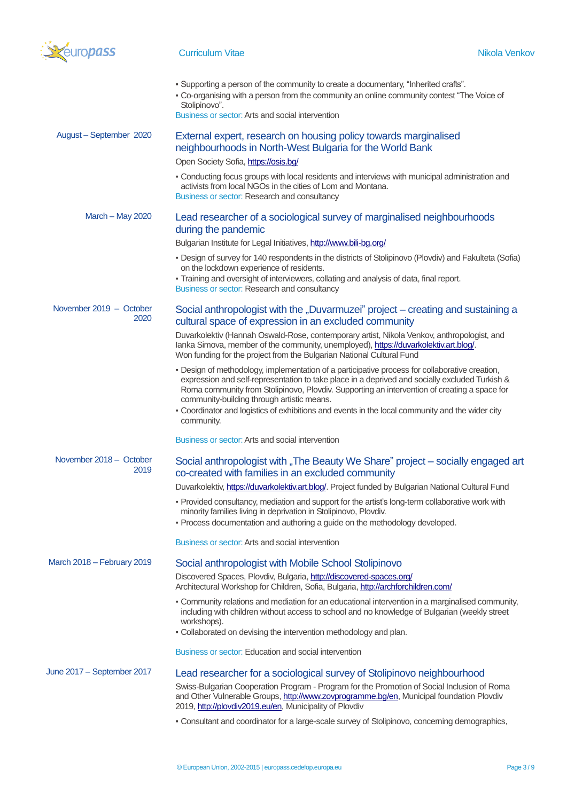

|                                 | - Supporting a person of the community to create a documentary, "Inherited crafts".<br>- Co-organising with a person from the community an online community contest "The Voice of<br>Stolipinovo".                                                                                                                                                                                                                                                              |
|---------------------------------|-----------------------------------------------------------------------------------------------------------------------------------------------------------------------------------------------------------------------------------------------------------------------------------------------------------------------------------------------------------------------------------------------------------------------------------------------------------------|
|                                 | Business or sector: Arts and social intervention                                                                                                                                                                                                                                                                                                                                                                                                                |
| August - September 2020         | External expert, research on housing policy towards marginalised<br>neighbourhoods in North-West Bulgaria for the World Bank                                                                                                                                                                                                                                                                                                                                    |
|                                 | Open Society Sofia, https://osis.bg/                                                                                                                                                                                                                                                                                                                                                                                                                            |
|                                 | - Conducting focus groups with local residents and interviews with municipal administration and<br>activists from local NGOs in the cities of Lom and Montana.<br>Business or sector: Research and consultancy                                                                                                                                                                                                                                                  |
| March - May 2020                | Lead researcher of a sociological survey of marginalised neighbourhoods<br>during the pandemic                                                                                                                                                                                                                                                                                                                                                                  |
|                                 | Bulgarian Institute for Legal Initiatives, http://www.bili-bg.org/                                                                                                                                                                                                                                                                                                                                                                                              |
|                                 | - Design of survey for 140 respondents in the districts of Stolipinovo (Plovdiv) and Fakulteta (Sofia)<br>on the lockdown experience of residents.                                                                                                                                                                                                                                                                                                              |
|                                 | - Training and oversight of interviewers, collating and analysis of data, final report.<br>Business or sector: Research and consultancy                                                                                                                                                                                                                                                                                                                         |
| November 2019 - October<br>2020 | Social anthropologist with the "Duvarmuzei" project – creating and sustaining a<br>cultural space of expression in an excluded community                                                                                                                                                                                                                                                                                                                        |
|                                 | Duvarkolektiv (Hannah Oswald-Rose, contemporary artist, Nikola Venkov, anthropologist, and<br>lanka Simova, member of the community, unemployed), https://duvarkolektiv.art.blog/.<br>Won funding for the project from the Bulgarian National Cultural Fund                                                                                                                                                                                                     |
|                                 | - Design of methodology, implementation of a participative process for collaborative creation,<br>expression and self-representation to take place in a deprived and socially excluded Turkish &<br>Roma community from Stolipinovo, Plovdiv. Supporting an intervention of creating a space for<br>community-building through artistic means.<br>- Coordinator and logistics of exhibitions and events in the local community and the wider city<br>community. |
|                                 | Business or sector: Arts and social intervention                                                                                                                                                                                                                                                                                                                                                                                                                |
| November 2018 - October<br>2019 | Social anthropologist with "The Beauty We Share" project – socially engaged art<br>co-created with families in an excluded community                                                                                                                                                                                                                                                                                                                            |
|                                 | Duvarkolektiv, https://duvarkolektiv.art.blog/. Project funded by Bulgarian National Cultural Fund                                                                                                                                                                                                                                                                                                                                                              |
|                                 | - Provided consultancy, mediation and support for the artist's long-term collaborative work with<br>minority families living in deprivation in Stolipinovo, Plovdiv.<br>- Process documentation and authoring a guide on the methodology developed.                                                                                                                                                                                                             |
|                                 |                                                                                                                                                                                                                                                                                                                                                                                                                                                                 |
|                                 | Business or sector: Arts and social intervention                                                                                                                                                                                                                                                                                                                                                                                                                |
| March 2018 - February 2019      | Social anthropologist with Mobile School Stolipinovo                                                                                                                                                                                                                                                                                                                                                                                                            |
|                                 | Discovered Spaces, Plovdiv, Bulgaria, http://discovered-spaces.org/<br>Architectural Workshop for Children, Sofia, Bulgaria, http://archforchildren.com/                                                                                                                                                                                                                                                                                                        |
|                                 | - Community relations and mediation for an educational intervention in a marginalised community,<br>including with children without access to school and no knowledge of Bulgarian (weekly street<br>workshops).                                                                                                                                                                                                                                                |
|                                 | - Collaborated on devising the intervention methodology and plan.                                                                                                                                                                                                                                                                                                                                                                                               |
|                                 | Business or sector: Education and social intervention                                                                                                                                                                                                                                                                                                                                                                                                           |
| June 2017 - September 2017      | Lead researcher for a sociological survey of Stolipinovo neighbourhood                                                                                                                                                                                                                                                                                                                                                                                          |
|                                 | Swiss-Bulgarian Cooperation Program - Program for the Promotion of Social Inclusion of Roma<br>and Other Vulnerable Groups, http://www.zovprogramme.bg/en, Municipal foundation Plovdiv<br>2019, http://plovdiv2019.eu/en, Municipality of Plovdiv                                                                                                                                                                                                              |

▪ Consultant and coordinator for a large-scale survey of Stolipinovo, concerning demographics,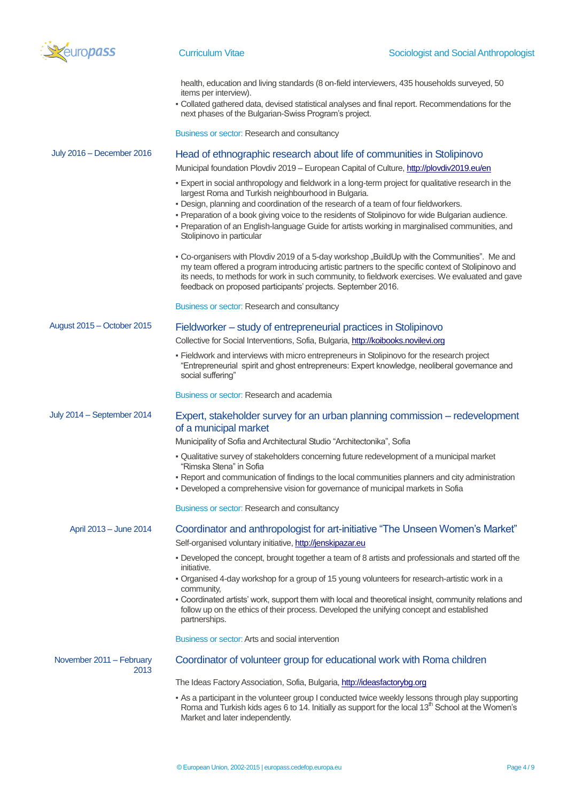

health, education and living standards (8 on-field interviewers, 435 households surveyed, 50 items per interview).

▪ Collated gathered data, devised statistical analyses and final report. Recommendations for the next phases of the Bulgarian-Swiss Program"s project.

Business or sector: Research and consultancy

| July 2016 - December 2016        | Head of ethnographic research about life of communities in Stolipinovo                                                                                                                                                                                                                                                                                                |
|----------------------------------|-----------------------------------------------------------------------------------------------------------------------------------------------------------------------------------------------------------------------------------------------------------------------------------------------------------------------------------------------------------------------|
|                                  | Municipal foundation Plovdiv 2019 - European Capital of Culture, http://plovdiv2019.eu/en                                                                                                                                                                                                                                                                             |
|                                  | - Expert in social anthropology and fieldwork in a long-term project for qualitative research in the<br>largest Roma and Turkish neighbourhood in Bulgaria.<br>- Design, planning and coordination of the research of a team of four fieldworkers.                                                                                                                    |
|                                  | - Preparation of a book giving voice to the residents of Stolipinovo for wide Bulgarian audience.<br>- Preparation of an English-language Guide for artists working in marginalised communities, and<br>Stolipinovo in particular                                                                                                                                     |
|                                  | - Co-organisers with Plovdiv 2019 of a 5-day workshop "BuildUp with the Communities". Me and<br>my team offered a program introducing artistic partners to the specific context of Stolipinovo and<br>its needs, to methods for work in such community, to fieldwork exercises. We evaluated and gave<br>feedback on proposed participants' projects. September 2016. |
|                                  | Business or sector: Research and consultancy                                                                                                                                                                                                                                                                                                                          |
| August 2015 - October 2015       | Fieldworker – study of entrepreneurial practices in Stolipinovo                                                                                                                                                                                                                                                                                                       |
|                                  | Collective for Social Interventions, Sofia, Bulgaria, http://koibooks.novilevi.org                                                                                                                                                                                                                                                                                    |
|                                  | - Fieldwork and interviews with micro entrepreneurs in Stolipinovo for the research project<br>"Entrepreneurial spirit and ghost entrepreneurs: Expert knowledge, neoliberal governance and<br>social suffering"                                                                                                                                                      |
|                                  | Business or sector: Research and academia                                                                                                                                                                                                                                                                                                                             |
| July 2014 - September 2014       | Expert, stakeholder survey for an urban planning commission – redevelopment<br>of a municipal market                                                                                                                                                                                                                                                                  |
|                                  | Municipality of Sofia and Architectural Studio "Architectonika", Sofia                                                                                                                                                                                                                                                                                                |
|                                  | - Qualitative survey of stakeholders concerning future redevelopment of a municipal market<br>"Rimska Stena" in Sofia                                                                                                                                                                                                                                                 |
|                                  | - Report and communication of findings to the local communities planners and city administration<br>- Developed a comprehensive vision for governance of municipal markets in Sofia                                                                                                                                                                                   |
|                                  | Business or sector: Research and consultancy                                                                                                                                                                                                                                                                                                                          |
| April 2013 - June 2014           | Coordinator and anthropologist for art-initiative "The Unseen Women's Market"<br>Self-organised voluntary initiative, http://jenskipazar.eu                                                                                                                                                                                                                           |
|                                  | - Developed the concept, brought together a team of 8 artists and professionals and started off the<br>initiative.                                                                                                                                                                                                                                                    |
|                                  | . Organised 4-day workshop for a group of 15 young volunteers for research-artistic work in a<br>community,                                                                                                                                                                                                                                                           |
|                                  | - Coordinated artists' work, support them with local and theoretical insight, community relations and<br>follow up on the ethics of their process. Developed the unifying concept and established<br>partnerships.                                                                                                                                                    |
|                                  | Business or sector: Arts and social intervention                                                                                                                                                                                                                                                                                                                      |
| November 2011 - February<br>2013 | Coordinator of volunteer group for educational work with Roma children                                                                                                                                                                                                                                                                                                |
|                                  | The Ideas Factory Association, Sofia, Bulgaria, http://ideasfactorybg.org                                                                                                                                                                                                                                                                                             |
|                                  | - As a participant in the volunteer group I conducted twice weekly lessons through play supporting<br>Roma and Turkish kids ages 6 to 14. Initially as support for the local 13 <sup>th</sup> School at the Women's<br>Market and later independently.                                                                                                                |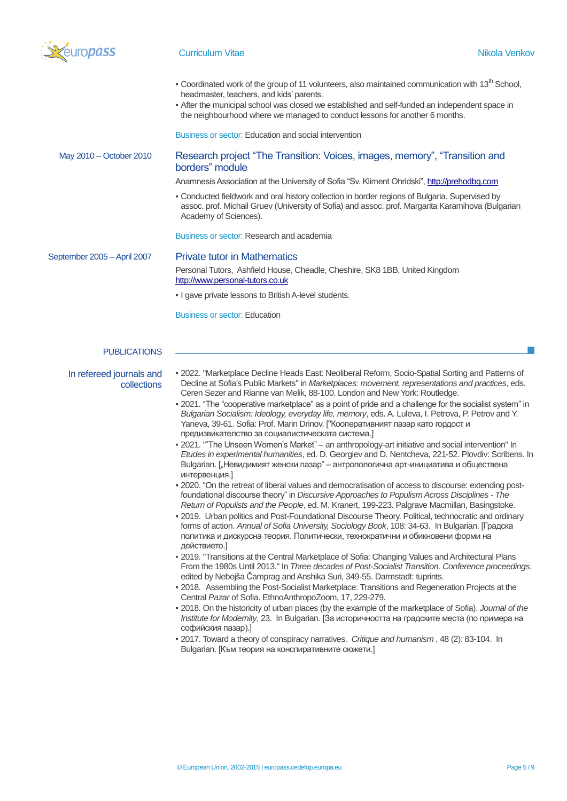

- $\bullet$  Coordinated work of the group of 11 volunteers, also maintained communication with 13<sup>th</sup> School, headmaster, teachers, and kids' parents.
- After the municipal school was closed we established and self-funded an independent space in the neighbourhood where we managed to conduct lessons for another 6 months.

Business or sector: Education and social intervention

# May 2010 – October 2010 Research project "The Transition: Voices, images, memory", "Transition and borders" module

Anamnesis Association at the University of Sofia "Sv. Kliment Ohridski", [http://prehodbg.com](http://prehodbg.com/)

▪ Conducted fieldwork and oral history collection in border regions of Bulgaria. Supervised by assoc. prof. Michail Gruev (University of Sofia) and assoc. prof. Margarita Karamihova (Bulgarian Academy of Sciences).

Business or sector: Research and academia

September 2005 – April 2007 Private tutor in Mathematics

Personal Tutors, Ashfield House, Cheadle, Cheshire, SK8 1BB, United Kingdom [http://www.personal-tutors.co.uk](http://www.personal-tutors.co.uk/)

▪ I gave private lessons to British A-level students.

Business or sector: Education

## **PUBLICATIONS**

In refereed journals and collections ▪ 2022. "Marketplace Decline Heads East: Neoliberal Reform, Socio-Spatial Sorting and Patterns of Decline at Sofia's Public Markets" in *Marketplaces: movement, representations and practices*, eds. Ceren Sezer and Rianne van Melik, 88-100. London and New York: Routledge.

- 2021. "The "cooperative marketplace" as a point of pride and a challenge for the socialist system" in *Bulgarian Socialism: Ideology, everyday life, memory*, eds. A. Luleva, I. Petrova, P. Petrov and Y. Yaneva, 39-61. Sofia: Prof. Marin Drinov. ["Кооперативният пазар като гордост и предизвикателство за социалистическата система.]
- 2021. ""The Unseen Women"s Market" an anthropology-art initiative and social intervention" In *Etudes in experimental humanities*, ed. D. Georgiev and D. Nentcheva, 221-52. Plovdiv: Scribens. In Bulgarian. ["Невидимият женски пазар" – антропологична арт-инициатива и обществена интервенция.]
- 2020. "On the retreat of liberal values and democratisation of access to discourse: extending postfoundational discourse theory" in *Discursive Approaches to Populism Across Disciplines - The Return of Populists and the People*, ed. M. Kranert, 199-223. Palgrave Macmillan, Basingstoke.
- 2019. Urban politics and Post-Foundational Discourse Theory. Political, technocratic and ordinary forms of action. *Annual of Sofia University, Sociology Book*, 108: 34-63. In Bulgarian. [Градска политика и дискурсна теория. Политически, технократични и обикновени форми на действието.]
- 2019. "Transitions at the Central Marketplace of Sofia: Changing Values and Architectural Plans From the 1980s Until 2013." In *Three decades of Post-Socialist Transition. Conference proceedings*, edited by Nebojša Čamprag and Anshika Suri, 349-55. Darmstadt: tuprints.
- 2018. Assembling the Post-Socialist Marketplace: Transitions and Regeneration Projects at the Central *Pazar* of Sofia. EthnoAnthropoZoom, 17, 229-279.
- 2018. On the historicity of urban places (by the example of the marketplace of Sofia). *Journal of the Institute for Modernity*, 23. In Bulgarian. [За историчността на градските места (по примера на софийския пазар).]
- 2017. Toward a theory of conspiracy narratives. *Critique and humanism* , 48 (2): 83-104. In Bulgarian. [Към теория на конспиративните сюжети.]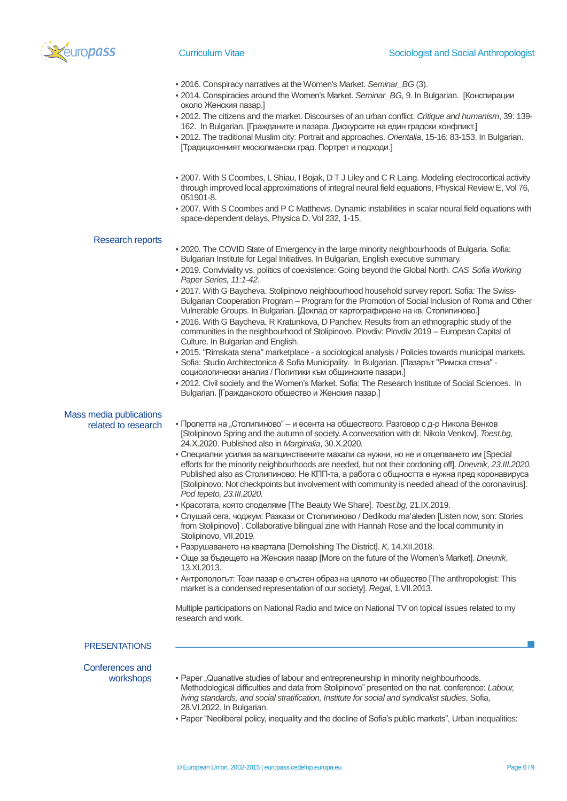

- 2016. Conspiracy narratives at the Women's Market. *Seminar\_BG* (3).
- 2014. Conspiracies around the Women"s Market. *Seminar\_BG*, 9. In Bulgarian. [Конспирации около Женския пазар.]
- 2012. The citizens and the market. Discourses of an urban conflict. *Critique and humanism*, 39: 139- 162. In Bulgarian. [Гражданите и пазара. Дискурсите на един градски конфликт.]
- 2012. The traditional Muslim city: Portrait and approaches. *Orientalia*, 15-16: 83-153. In Bulgarian. [Традиционният мюсюлмански град. Портрет и подходи.]
- 2007. With S Coombes, L Shiau, I Bojak, D T J Liley and C R Laing. Modeling electrocortical activity through improved local approximations of integral neural field equations, Physical Review E, Vol 76, 051901-8.
- 2007. With S Coombes and P C Matthews. Dynamic instabilities in scalar neural field equations with space-dependent delays, Physica D, Vol 232, 1-15.

#### Research reports

- 2020. The COVID State of Emergency in the large minority neighbourhoods of Bulgaria. Sofia: Bulgarian Institute for Legal Initiatives. In Bulgarian, English executive summary.
- 2019. Conviviality vs. politics of coexistence: Going beyond the Global North. *CAS Sofia Working Paper Series, 11:1-42*.
- 2017. With G Baycheva. Stolipinovo neighbourhood household survey report. Sofia: The Swiss-Bulgarian Cooperation Program – Program for the Promotion of Social Inclusion of Roma and Other Vulnerable Groups. In Bulgarian. [Доклад от картографиране на кв. Столипиново.]
- 2016. With G Baycheva, R Kratunkova, D Panchev. Results from an ethnographic study of the communities in the neighbourhood of Stolipinovo. Plovdiv: Plovdiv 2019 – European Capital of Culture. In Bulgarian and English.
- 2015. "Rimskata stena" marketplace a sociological analysis / Policies towards municipal markets. Sofia: Studio Architectonica & Sofia Municipality. In Bulgarian. [Пазарът "Римска стена" социологически анализ / Политики към общинските пазари.]
- 2012. Civil society and the Women"s Market. Sofia: The Research Institute of Social Sciences. In Bulgarian. [Гражданското общество и Женския пазар.]

# Mass media publications

- related to research Пролетта на "Столипиново" и есента на обществото. Разговор с д-р Никола Венков [Stolipinovo Spring and the autumn of society. A conversation with dr. Nikola Venkov], *Toest.bg*, 24.Х.2020. Published also in *Marginalia*, 30.Х.2020*.*
	- Специални усилия за малцинствените махали са нужни, но не и отцепването им [Special] efforts for the minority neighbourhoods are needed, but not their cordoning off]. *Dnevnik, 23.III.2020.* Published also as Столипиново: Не КПП-та, а работа с общността е нужна пред коронавируса [Stolipinovo: Not checkpoints but involvement with community is needed ahead of the coronavirus]. *Pod tepeto, 23.III.2020.*
	- Красотата, която споделяме [The Beauty We Share]. *Toest.bg*, 21.IX.2019.
	- Слушай сега, чоджум: Разкази от Столипиново / Dedikodu ma"aleden [Listen now, son: Stories from Stolipinovo] . Collaborative bilingual zine with Hannah Rose and the local community in Stolipinovo, VII.2019.
	- Разрушаването на квартала [Demolishing The District]. *K,* 14.XII.2018.
	- Още за бъдещето на Женския пазар [More on the future of the Women"s Market]. *Dnevnik*, 13.XI.2013.
	- Антропологът: Този пазар е сгъстен образ на цялото ни общество [The anthropologist: This market is a condensed representation of our society]. *Regal*, 1.VII.2013.

Multiple participations on National Radio and twice on National TV on topical issues related to my research and work.

## **PRESENTATIONS**

# Conferences and

- workshops Paper "Quanative studies of labour and entrepreneurship in minority neighbourhoods. Methodological difficulties and data from Stolipinovo" presented on the nat. conference: *Labour, living standards, and social stratification, Institute for social and syndicalist studies*, Sofia, 28.VІ.2022. In Bulgarian.
	- Paper "Neoliberal policy, inequality and the decline of Sofia"s public markets", Urban inequalities: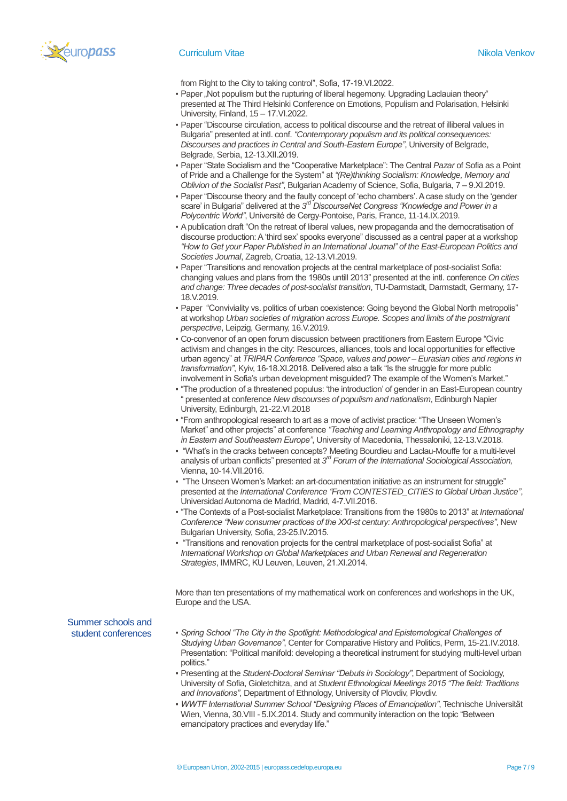

from Right to the City to taking control", Sofia, 17-19.VІ.2022.

- Paper ..Not populism but the rupturing of liberal hegemony. Upgrading Laclauian theory" presented at The Third Helsinki Conference on Emotions, Populism and Polarisation, Helsinki University, Finland, 15 – 17.VІ.2022.
- Paper "Discourse circulation, access to political discourse and the retreat of illiberal values in Bulgaria" presented at intl. conf. *"Contemporary populism and its political consequences: Discourses and practices in Central and South-Eastern Europe"*, University of Belgrade, Belgrade, Serbia, 12-13.ХІІ.2019.
- Paper "State Socialism and the "Cooperative Marketplace": The Central *Pazar* of Sofia as a Point of Pride and a Challenge for the System" at *"(Re)thinking Socialism: Knowledge, Memory and Oblivion of the Socialist Past"*, Bulgarian Academy of Science, Sofia, Bulgaria, 7 – 9.ХІ.2019.
- Paper "Discourse theory and the faulty concept of "echo chambers". A case study on the "gender scare' in Bulgaria" delivered at the 3<sup>rd</sup> DiscourseNet Congress "Knowledge and Power in a *Polycentric World"*, Université de Cergy-Pontoise, Paris, France, 11-14.IX.2019.
- A publication draft "On the retreat of liberal values, new propaganda and the democratisation of discourse production: A "third sex" spooks everyone" discussed as a central paper at a workshop *"How to Get your Paper Published in an International Journal" of the East-European Politics and Societies Journal*, Zagreb, Croatia, 12-13.VI.2019.
- Paper "Transitions and renovation projects at the central marketplace of post-socialist Sofia: changing values and plans from the 1980s untill 2013" presented at the intl. conference *On cities and change: Three decades of post-socialist transition*, TU-Darmstadt, Darmstadt, Germany, 17- 18.V.2019.
- Paper "Conviviality vs. politics of urban coexistence: Going beyond the Global North metropolis" at workshop *Urban societies of migration across Europe. Scopes and limits of the postmigrant perspective*, Leipzig, Germany, 16.V.2019.
- Co-convenor of an open forum discussion between practitioners from Eastern Europe "Civic activism and changes in the city: Resources, alliances, tools and local opportunities for effective urban agency" at *TRIPAR Conference "Space, values and power – Eurasian cities and regions in transformation"*, Kyiv, 16-18.XI.2018. Delivered also a talk "Is the struggle for more public involvement in Sofia"s urban development misguided? The example of the Women"s Market."
- "The production of a threatened populus: "the introduction" of gender in an East-European country " presented at conference *New discourses of populism and nationalism*, Edinburgh Napier University, Edinburgh, 21-22.VI.2018
- "From anthropological research to art as a move of activist practice: "The Unseen Women"s Market" and other projects" at conference *"Teaching and Learning Anthropology and Ethnography in Eastern and Southeastern Europe"*, University of Macedonia, Thessaloniki, 12-13.V.2018.
- "What"s in the cracks between concepts? Meeting Bourdieu and Laclau-Mouffe for a multi-level analysis of urban conflicts" presented at 3<sup>rd</sup> Forum of the International Sociological Association, Vienna, 10-14.VІІ.2016.
- "The Unseen Women"s Market: an art-documentation initiative as an instrument for struggle" presented at the *International Conference "From CONTESTED\_CITIES to Global Urban Justice"*, Universidad Autonoma de Madrid, Madrid, 4-7.VІІ.2016.
- "The Contexts of a Post-socialist Marketplace: Transitions from the 1980s to 2013" at *International Conference "New consumer practices of the XXI-st century: Anthropological perspectives"*, New Bulgarian University, Sofia, 23-25.ІV.2015.
- "Transitions and renovation projects for the central marketplace of post-socialist Sofia" at *International Workshop on Global Marketplaces and Urban Renewal and Regeneration Strategies*, IMMRC, KU Leuven, Leuven, 21.ХІ.2014.

More than ten presentations of my mathematical work on conferences and workshops in the UK, Europe and the USA.

Summer schools and

- student conferences *Spring School "The City in the Spotlight: Methodological and Epistemological Challenges of Studying Urban Governance"*, Center for Comparative History and Politics, Perm, 15-21.IV.2018. Presentation: "Political manifold: developing a theoretical instrument for studying multi-level urban politics."
	- Presenting at the *Student-Doctoral Seminar "Debuts in Sociology"*, Department of Sociology, University of Sofia, Gioletchitza, and at *Student Ethnological Meetings 2015 "The field: Traditions and Innovations"*, Department of Ethnology, University of Plovdiv, Plovdiv.
	- *WWTF International Summer School "Designing Places of Emancipation"*, Technische Universität Wien, Vienna, 30.VIII - 5.IX.2014. Study and community interaction on the topic "Between emancipatory practices and everyday life."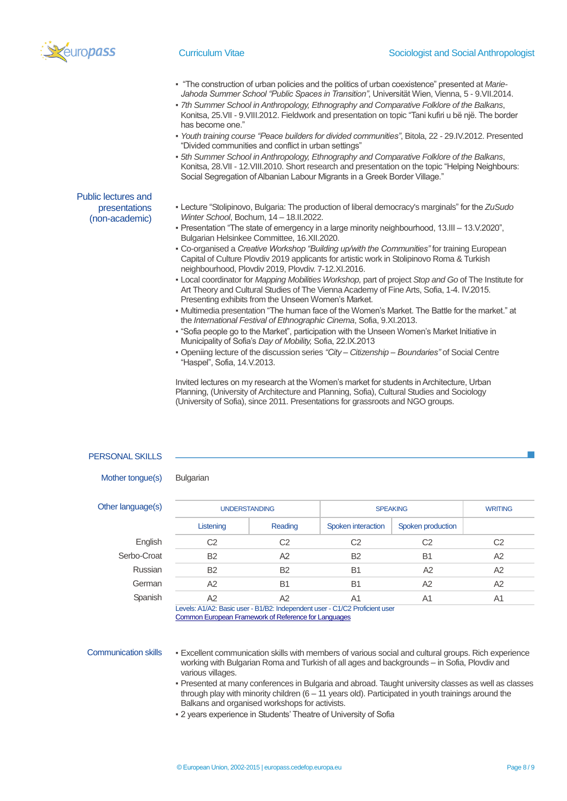

- "The construction of urban policies and the politics of urban coexistence" presented at *Marie-Jahoda Summer School "Public Spaces in Transition"*, Universität Wien, Vienna, 5 - 9.VII.2014.
- *7th Summer School in Anthropology, Ethnography and Comparative Folklore of the Balkans*, Konitsa, 25.VII - 9.VIII.2012. Fieldwork and presentation on topic "Tani kufiri u bë një. The border has become one.'
- *Youth training course "Peace builders for divided communities"*, Bitola, 22 29.IV.2012. Presented "Divided communities and conflict in urban settings"
- *5th Summer School in Anthropology, Ethnography and Comparative Folklore of the Balkans*, Konitsa, 28.VII - 12.VIII.2010. Short research and presentation on the topic "Helping Neighbours: Social Segregation of Albanian Labour Migrants in a Greek Border Village."

Public lectures and presentations (non-academic)

- Lecture "Stolipinovo, Bulgaria: The production of liberal democracy's marginals" for the *ZuSudo Winter School*, Bochum, 14 – 18.II.2022.
- Presentation "The state of emergency in a large minority neighbourhood, 13.III 13.V.2020", Bulgarian Helsinkee Committee, 16.XII.2020.
- Co-organised a *Creative Workshop "Building up/with the Communities"* for training European Capital of Culture Plovdiv 2019 applicants for artistic work in Stolipinovo Roma & Turkish neighbourhood, Plovdiv 2019, Plovdiv. 7-12.XI.2016.
- Local coordinator for *Mapping Mobilities Workshop,* part of project *Stop and Go* of The Institute for Art Theory and Cultural Studies of The Vienna Academy of Fine Arts, Sofia, 1-4. ІV.2015. Presenting exhibits from the Unseen Women"s Market.
- Multimedia presentation "The human face of the Women"s Market. The Battle for the market." at the *International Festival of Ethnographic Cinema*, Sofia, 9.XI.2013.
- "Sofia people go to the Market", participation with the Unseen Women"s Market Initiative in Municipality of Sofia"s *Day of Mobility,* Sofia, 22.ІХ.2013
- Openiing lecture of the discussion series *"City – Citizenship – Boundaries"* of Social Centre "Haspel", Sofia, 14.V.2013.

Invited lectures on my research at the Women"s market for students in Architecture, Urban Planning, (University of Architecture and Planning, Sofia), Cultural Studies and Sociology (University of Sofia), since 2011. Presentations for grassroots and NGO groups.

#### PERSONAL SKILLS

Mother tonque(s) Bulgarian

| Other language(s) | <b>UNDERSTANDING</b> |                | <b>SPEAKING</b>                                                                                                                                                                                                                                                                                                                    | <b>WRITING</b>    |                |  |  |  |
|-------------------|----------------------|----------------|------------------------------------------------------------------------------------------------------------------------------------------------------------------------------------------------------------------------------------------------------------------------------------------------------------------------------------|-------------------|----------------|--|--|--|
|                   | Listening            | Reading        | Spoken interaction                                                                                                                                                                                                                                                                                                                 | Spoken production |                |  |  |  |
| English           | C2                   | C2             | C2                                                                                                                                                                                                                                                                                                                                 | C <sub>2</sub>    | C <sub>2</sub> |  |  |  |
| Serbo-Croat       | <b>B2</b>            | A <sub>2</sub> | <b>B2</b>                                                                                                                                                                                                                                                                                                                          | B <sub>1</sub>    | A2             |  |  |  |
| Russian           | <b>B2</b>            | <b>B2</b>      | B <sub>1</sub>                                                                                                                                                                                                                                                                                                                     | A2                | A2             |  |  |  |
| German            | A2                   | B <sub>1</sub> | B <sub>1</sub>                                                                                                                                                                                                                                                                                                                     | A2                | A2             |  |  |  |
| Spanish           | A2                   | A2             | A1                                                                                                                                                                                                                                                                                                                                 | A <sub>1</sub>    | A <sub>1</sub> |  |  |  |
|                   |                      |                | $\mathbf{A}$ $\mathbf{A}$ $\mathbf{A}$ $\mathbf{A}$ $\mathbf{A}$ $\mathbf{A}$ $\mathbf{A}$ $\mathbf{A}$ $\mathbf{A}$ $\mathbf{A}$ $\mathbf{A}$ $\mathbf{A}$ $\mathbf{A}$ $\mathbf{A}$ $\mathbf{A}$ $\mathbf{A}$ $\mathbf{A}$ $\mathbf{A}$ $\mathbf{A}$ $\mathbf{A}$ $\mathbf{A}$ $\mathbf{A}$ $\mathbf{A}$ $\mathbf{A}$ $\mathbf{$ |                   |                |  |  |  |

Levels: A1/A2: Basic user - B1/B2: Independent user - C1/C2 Proficient user [Common European Framework of Reference for Languages](http://europass.cedefop.europa.eu/en/resources/european-language-levels-cefr)

- Communication skills Excellent communication skills with members of various social and cultural groups. Rich experience working with Bulgarian Roma and Turkish of all ages and backgrounds – in Sofia, Plovdiv and various villages.
	- Presented at many conferences in Bulgaria and abroad. Taught university classes as well as classes through play with minority children (6 – 11 years old). Participated in youth trainings around the Balkans and organised workshops for activists.
	- 2 years experience in Students" Theatre of University of Sofia